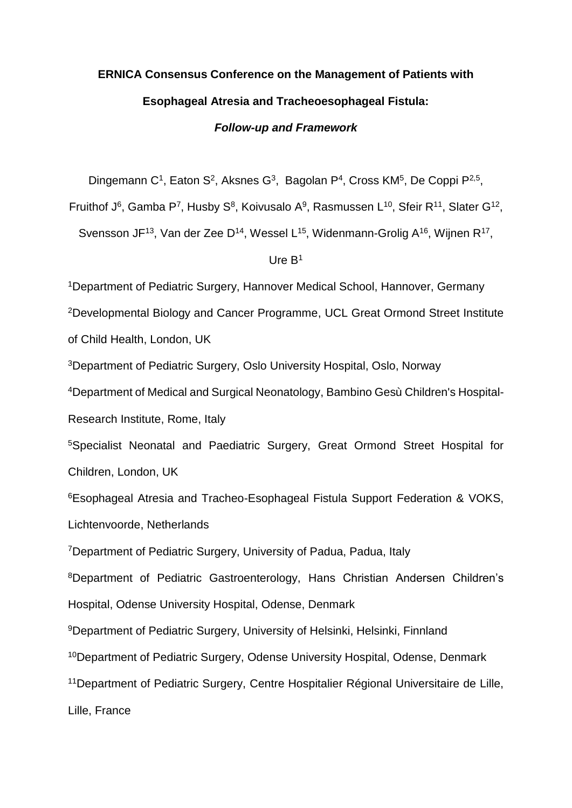# **ERNICA Consensus Conference on the Management of Patients with Esophageal Atresia and Tracheoesophageal Fistula:** *Follow-up and Framework*

Dingemann C<sup>1</sup>, Eaton S<sup>2</sup>, Aksnes G<sup>3</sup>, Bagolan P<sup>4</sup>, Cross KM<sup>5</sup>, De Coppi P<sup>2,5</sup>,

Fruithof J<sup>6</sup>, Gamba P<sup>7</sup>, Husby S<sup>8</sup>, Koivusalo A<sup>9</sup>, Rasmussen L<sup>10</sup>, Sfeir R<sup>11</sup>, Slater G<sup>12</sup>,

Svensson JF<sup>13</sup>, Van der Zee D<sup>14</sup>, Wessel L<sup>15</sup>, Widenmann-Grolig A<sup>16</sup>, Wijnen R<sup>17</sup>,

#### Ure B<sup>1</sup>

<sup>1</sup>Department of Pediatric Surgery, Hannover Medical School, Hannover, Germany <sup>2</sup>Developmental Biology and Cancer Programme, UCL Great Ormond Street Institute of Child Health, London, UK <sup>3</sup>Department of Pediatric Surgery, Oslo University Hospital, Oslo, Norway <sup>4</sup>Department of Medical and Surgical Neonatology, Bambino Gesù Children's Hospital-Research Institute, Rome, Italy <sup>5</sup>Specialist Neonatal and Paediatric Surgery, Great Ormond Street Hospital for Children, London, UK <sup>6</sup>Esophageal Atresia and Tracheo-Esophageal Fistula Support Federation & VOKS, Lichtenvoorde, Netherlands <sup>7</sup>Department of Pediatric Surgery, University of Padua, Padua, Italy <sup>8</sup>Department of Pediatric Gastroenterology, Hans Christian Andersen Children's Hospital, Odense University Hospital, Odense, Denmark <sup>9</sup>Department of Pediatric Surgery, University of Helsinki, Helsinki, Finnland <sup>10</sup>Department of Pediatric Surgery, Odense University Hospital, Odense, Denmark <sup>11</sup>Department of Pediatric Surgery, Centre Hospitalier Régional Universitaire de Lille, Lille, France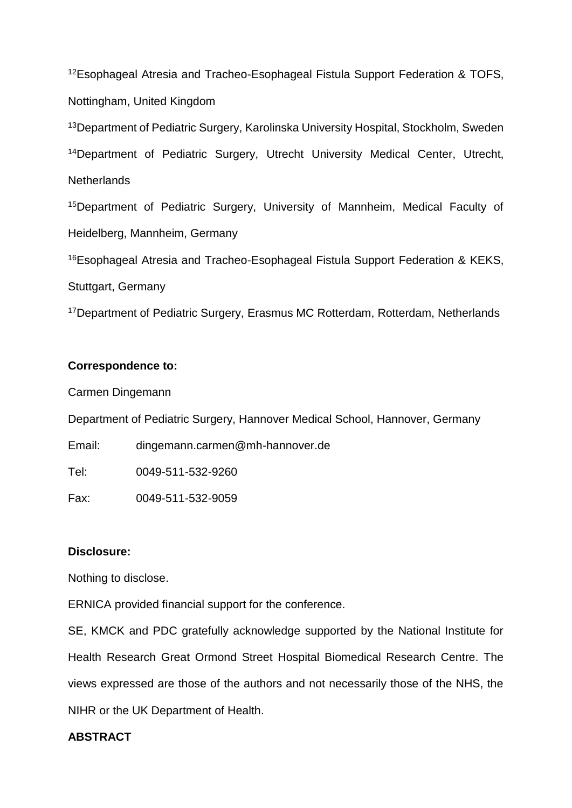<sup>12</sup>Esophageal Atresia and Tracheo-Esophageal Fistula Support Federation & TOFS, Nottingham, United Kingdom

<sup>13</sup>Department of Pediatric Surgery, Karolinska University Hospital, Stockholm, Sweden <sup>14</sup>Department of Pediatric Surgery, Utrecht University Medical Center, Utrecht, **Netherlands** 

<sup>15</sup>Department of Pediatric Surgery, University of Mannheim, Medical Faculty of Heidelberg, Mannheim, Germany

<sup>16</sup>Esophageal Atresia and Tracheo-Esophageal Fistula Support Federation & KEKS, Stuttgart, Germany

<sup>17</sup>Department of Pediatric Surgery, Erasmus MC Rotterdam, Rotterdam, Netherlands

# **Correspondence to:**

Carmen Dingemann

Department of Pediatric Surgery, Hannover Medical School, Hannover, Germany

Email: [dingemann.carmen@mh-hannover.de](mailto:dingemann.carmen@mh-hannover.de)

Tel: 0049-511-532-9260

Fax: 0049-511-532-9059

# **Disclosure:**

Nothing to disclose.

ERNICA provided financial support for the conference.

SE, KMCK and PDC gratefully acknowledge supported by the National Institute for Health Research Great Ormond Street Hospital Biomedical Research Centre. The views expressed are those of the authors and not necessarily those of the NHS, the NIHR or the UK Department of Health.

# **ABSTRACT**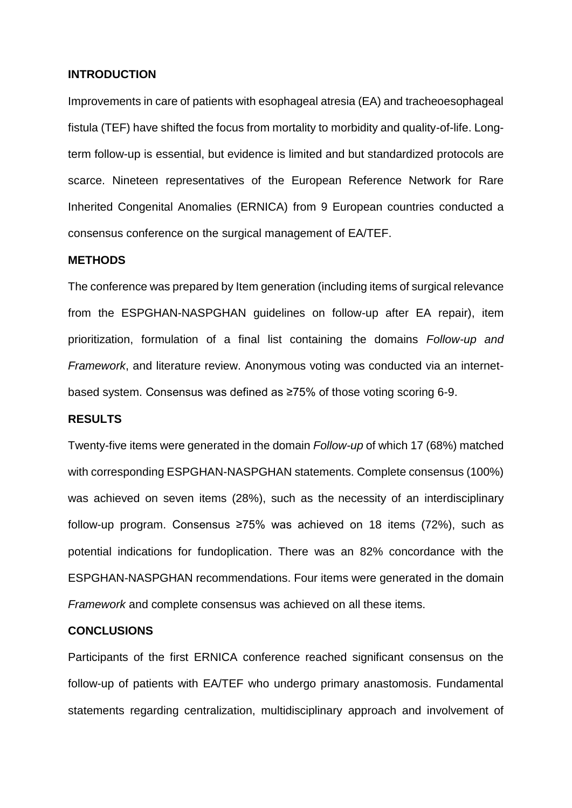#### **INTRODUCTION**

Improvements in care of patients with esophageal atresia (EA) and tracheoesophageal fistula (TEF) have shifted the focus from mortality to morbidity and quality-of-life. Longterm follow-up is essential, but evidence is limited and but standardized protocols are scarce. Nineteen representatives of the European Reference Network for Rare Inherited Congenital Anomalies (ERNICA) from 9 European countries conducted a consensus conference on the surgical management of EA/TEF.

#### **METHODS**

The conference was prepared by Item generation (including items of surgical relevance from the ESPGHAN-NASPGHAN guidelines on follow-up after EA repair), item prioritization, formulation of a final list containing the domains *Follow-up and Framework*, and literature review. Anonymous voting was conducted via an internetbased system. Consensus was defined as ≥75% of those voting scoring 6-9.

#### **RESULTS**

Twenty-five items were generated in the domain *Follow-up* of which 17 (68%) matched with corresponding ESPGHAN-NASPGHAN statements. Complete consensus (100%) was achieved on seven items (28%), such as the necessity of an interdisciplinary follow-up program. Consensus ≥75% was achieved on 18 items (72%), such as potential indications for fundoplication. There was an 82% concordance with the ESPGHAN-NASPGHAN recommendations. Four items were generated in the domain *Framework* and complete consensus was achieved on all these items.

#### **CONCLUSIONS**

Participants of the first ERNICA conference reached significant consensus on the follow-up of patients with EA/TEF who undergo primary anastomosis. Fundamental statements regarding centralization, multidisciplinary approach and involvement of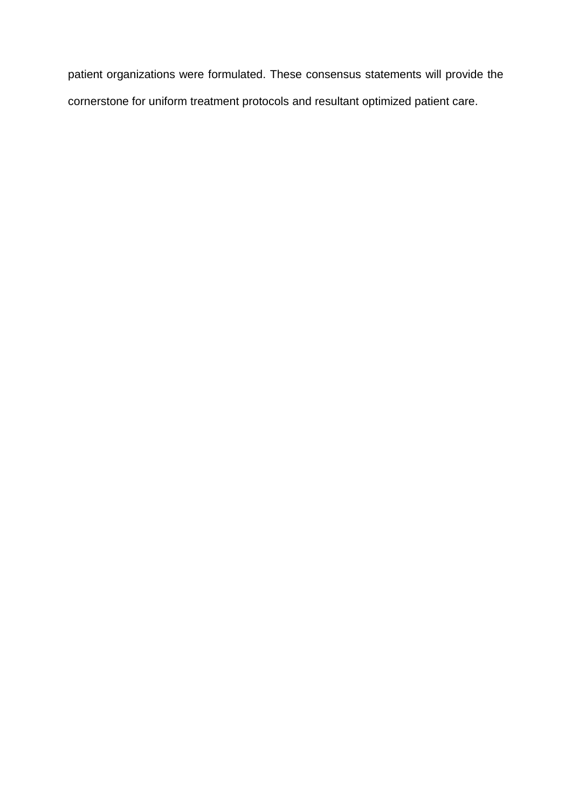patient organizations were formulated. These consensus statements will provide the cornerstone for uniform treatment protocols and resultant optimized patient care.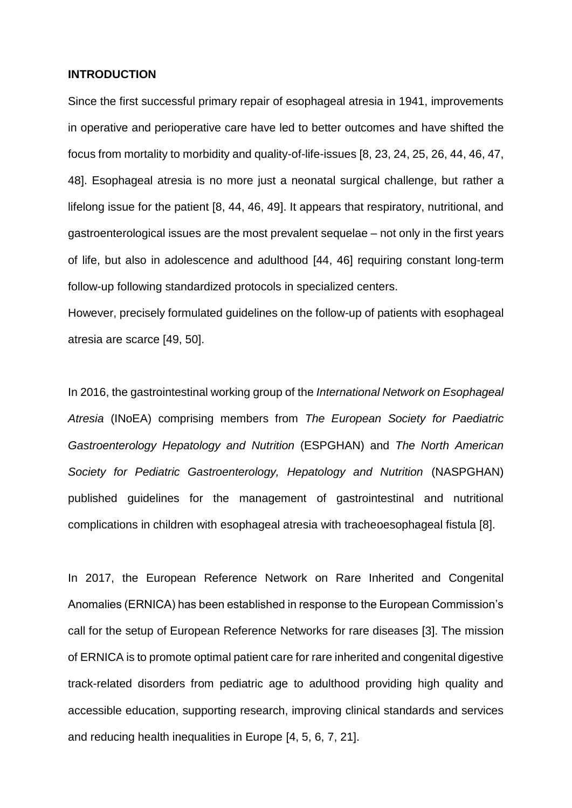#### **INTRODUCTION**

Since the first successful primary repair of esophageal atresia in 1941, improvements in operative and perioperative care have led to better outcomes and have shifted the focus from mortality to morbidity and quality-of-life-issues [8, 23, 24, 25, 26, 44, 46, 47, 48]. Esophageal atresia is no more just a neonatal surgical challenge, but rather a lifelong issue for the patient [8, 44, 46, 49]. It appears that respiratory, nutritional, and gastroenterological issues are the most prevalent sequelae – not only in the first years of life, but also in adolescence and adulthood [44, 46] requiring constant long-term follow-up following standardized protocols in specialized centers.

However, precisely formulated guidelines on the follow-up of patients with esophageal atresia are scarce [49, 50].

In 2016, the gastrointestinal working group of the *International Network on Esophageal Atresia* (INoEA) comprising members from *The European Society for Paediatric Gastroenterology Hepatology and Nutrition* (ESPGHAN) and *The North American Society for Pediatric Gastroenterology, Hepatology and Nutrition* (NASPGHAN) published guidelines for the management of gastrointestinal and nutritional complications in children with esophageal atresia with tracheoesophageal fistula [8].

In 2017, the European Reference Network on Rare Inherited and Congenital Anomalies (ERNICA) has been established in response to the European Commission's call for the setup of European Reference Networks for rare diseases [3]. The mission of ERNICA is to promote optimal patient care for rare inherited and congenital digestive track-related disorders from pediatric age to adulthood providing high quality and accessible education, supporting research, improving clinical standards and services and reducing health inequalities in Europe [4, 5, 6, 7, 21].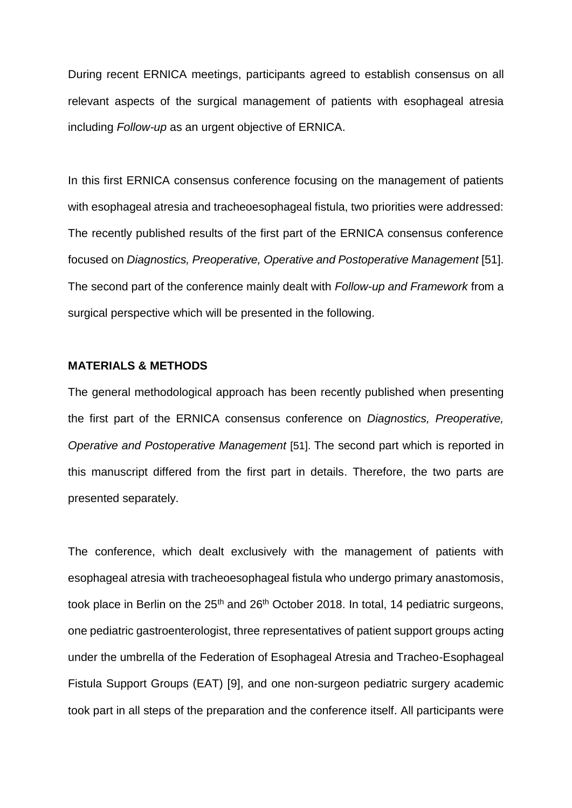During recent ERNICA meetings, participants agreed to establish consensus on all relevant aspects of the surgical management of patients with esophageal atresia including *Follow-up* as an urgent objective of ERNICA.

In this first ERNICA consensus conference focusing on the management of patients with esophageal atresia and tracheoesophageal fistula, two priorities were addressed: The recently published results of the first part of the ERNICA consensus conference focused on *Diagnostics, Preoperative, Operative and Postoperative Management* [51]. The second part of the conference mainly dealt with *Follow-up and Framework* from a surgical perspective which will be presented in the following.

#### **MATERIALS & METHODS**

The general methodological approach has been recently published when presenting the first part of the ERNICA consensus conference on *Diagnostics, Preoperative, Operative and Postoperative Management* [51]. The second part which is reported in this manuscript differed from the first part in details. Therefore, the two parts are presented separately.

The conference, which dealt exclusively with the management of patients with esophageal atresia with tracheoesophageal fistula who undergo primary anastomosis, took place in Berlin on the 25<sup>th</sup> and 26<sup>th</sup> October 2018. In total, 14 pediatric surgeons, one pediatric gastroenterologist, three representatives of patient support groups acting under the umbrella of the Federation of Esophageal Atresia and Tracheo-Esophageal Fistula Support Groups (EAT) [9], and one non-surgeon pediatric surgery academic took part in all steps of the preparation and the conference itself. All participants were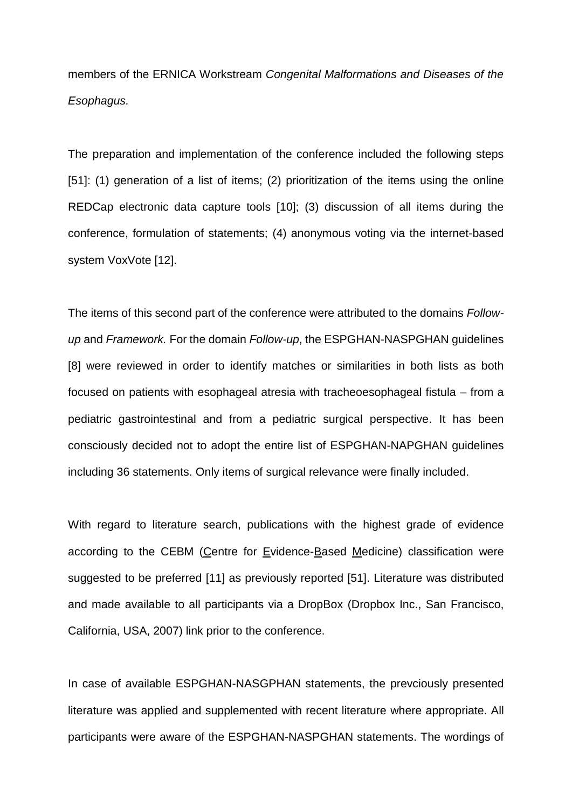members of the ERNICA Workstream *Congenital Malformations and Diseases of the Esophagus.*

The preparation and implementation of the conference included the following steps [51]: (1) generation of a list of items; (2) prioritization of the items using the online REDCap electronic data capture tools [10]; (3) discussion of all items during the conference, formulation of statements; (4) anonymous voting via the internet-based system VoxVote [12].

The items of this second part of the conference were attributed to the domains *Followup* and *Framework.* For the domain *Follow-up*, the ESPGHAN-NASPGHAN guidelines [8] were reviewed in order to identify matches or similarities in both lists as both focused on patients with esophageal atresia with tracheoesophageal fistula – from a pediatric gastrointestinal and from a pediatric surgical perspective. It has been consciously decided not to adopt the entire list of ESPGHAN-NAPGHAN guidelines including 36 statements. Only items of surgical relevance were finally included.

With regard to literature search, publications with the highest grade of evidence according to the CEBM (Centre for Evidence-Based Medicine) classification were suggested to be preferred [11] as previously reported [51]. Literature was distributed and made available to all participants via a DropBox (Dropbox Inc., San Francisco, California, USA, 2007) link prior to the conference.

In case of available ESPGHAN-NASGPHAN statements, the prevciously presented literature was applied and supplemented with recent literature where appropriate. All participants were aware of the ESPGHAN-NASPGHAN statements. The wordings of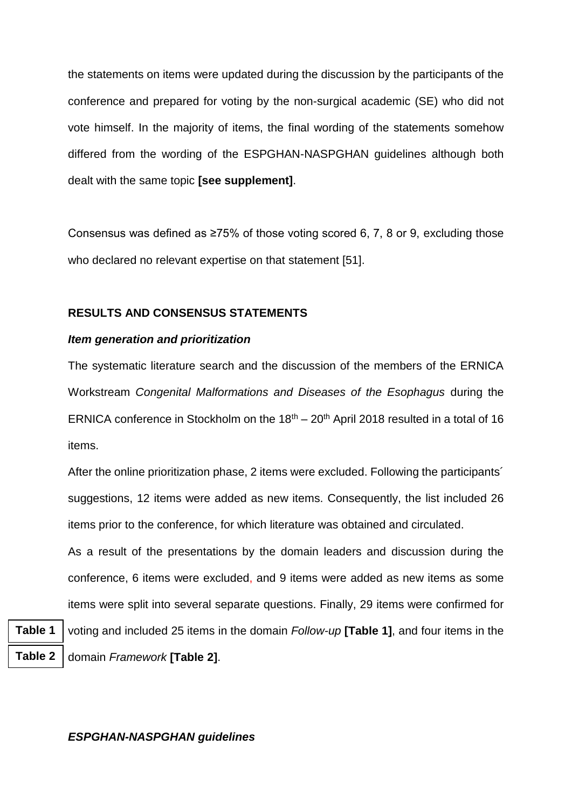the statements on items were updated during the discussion by the participants of the conference and prepared for voting by the non-surgical academic (SE) who did not vote himself. In the majority of items, the final wording of the statements somehow differed from the wording of the ESPGHAN-NASPGHAN guidelines although both dealt with the same topic **[see supplement]**.

Consensus was defined as ≥75% of those voting scored 6, 7, 8 or 9, excluding those who declared no relevant expertise on that statement [51].

### **RESULTS AND CONSENSUS STATEMENTS**

#### *Item generation and prioritization*

The systematic literature search and the discussion of the members of the ERNICA Workstream *Congenital Malformations and Diseases of the Esophagus* during the ERNICA conference in Stockholm on the  $18<sup>th</sup> - 20<sup>th</sup>$  April 2018 resulted in a total of 16 items.

After the online prioritization phase, 2 items were excluded. Following the participants´ suggestions, 12 items were added as new items. Consequently, the list included 26 items prior to the conference, for which literature was obtained and circulated.

As a result of the presentations by the domain leaders and discussion during the conference, 6 items were excluded, and 9 items were added as new items as some items were split into several separate questions. Finally, 29 items were confirmed for

**Table 1**

voting and included 25 items in the domain *Follow-up* **[Table 1]**, and four items in the domain *Framework* **[Table 2]**. **Table 2**

#### *ESPGHAN-NASPGHAN guidelines*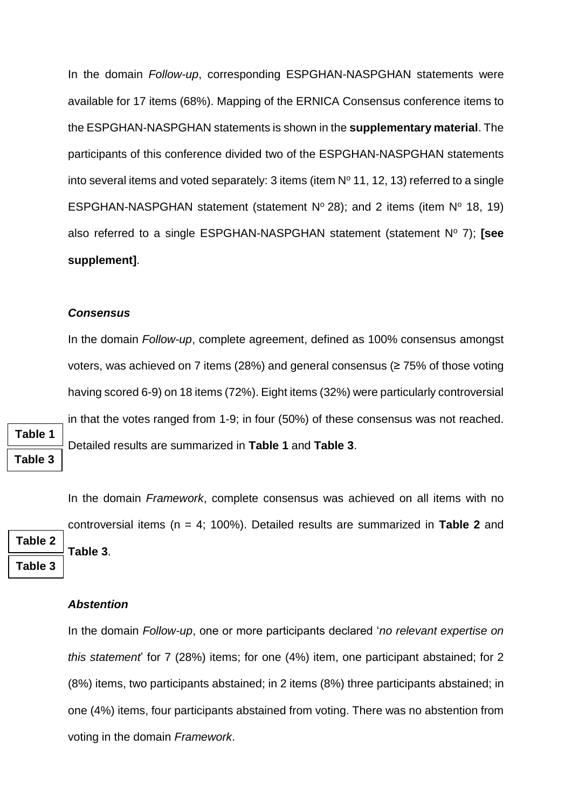In the domain *Follow-up*, corresponding ESPGHAN-NASPGHAN statements were available for 17 items (68%). Mapping of the ERNICA Consensus conference items to the ESPGHAN-NASPGHAN statements is shown in the **supplementary material**. The participants of this conference divided two of the ESPGHAN-NASPGHAN statements into several items and voted separately: 3 items (item  $N<sup>o</sup>$  11, 12, 13) referred to a single ESPGHAN-NASPGHAN statement (statement  $N^{\circ}$  28); and 2 items (item  $N^{\circ}$  18, 19) also referred to a single ESPGHAN-NASPGHAN statement (statement N° 7); **[see supplement]**.

#### *Consensus*

In the domain *Follow-up*, complete agreement, defined as 100% consensus amongst voters, was achieved on 7 items (28%) and general consensus (≥ 75% of those voting having scored 6-9) on 18 items (72%). Eight items (32%) were particularly controversial in that the votes ranged from 1-9; in four (50%) of these consensus was not reached. Detailed results are summarized in **Table 1** and **Table 3**.

**Table 1**

**Table 3**

**Table 2**

**Table 3**

In the domain *Framework*, complete consensus was achieved on all items with no controversial items (n = 4; 100%). Detailed results are summarized in **Table 2** and **Table 3**.

#### *Abstention*

In the domain *Follow-up*, one or more participants declared '*no relevant expertise on this statement*' for 7 (28%) items; for one (4%) item, one participant abstained; for 2 (8%) items, two participants abstained; in 2 items (8%) three participants abstained; in one (4%) items, four participants abstained from voting. There was no abstention from voting in the domain *Framework*.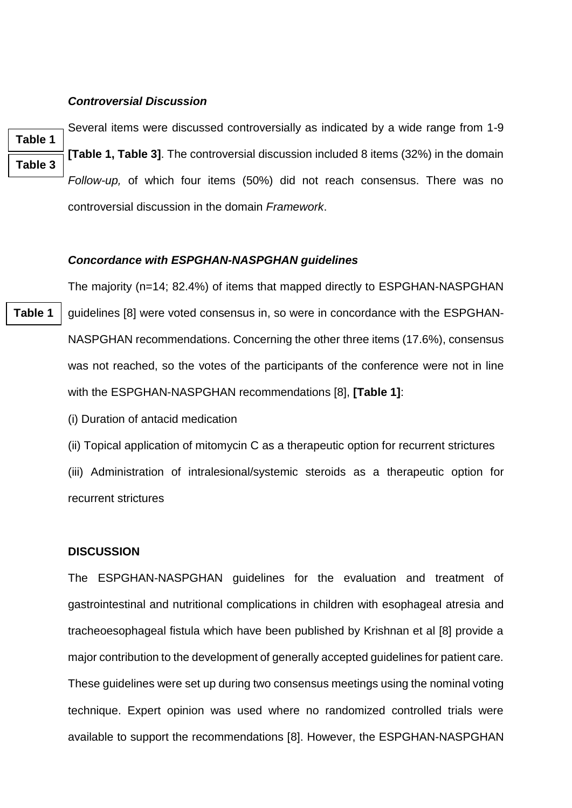#### *Controversial Discussion*

**Table 1 Table 3** Several items were discussed controversially as indicated by a wide range from 1-9 **[Table 1, Table 3]**. The controversial discussion included 8 items (32%) in the domain *Follow-up,* of which four items (50%) did not reach consensus. There was no controversial discussion in the domain *Framework*.

#### *Concordance with ESPGHAN-NASPGHAN guidelines*

The majority (n=14; 82.4%) of items that mapped directly to ESPGHAN-NASPGHAN guidelines [8] were voted consensus in, so were in concordance with the ESPGHAN-NASPGHAN recommendations. Concerning the other three items (17.6%), consensus was not reached, so the votes of the participants of the conference were not in line with the ESPGHAN-NASPGHAN recommendations [8], **[Table 1]**:

(i) Duration of antacid medication

(ii) Topical application of mitomycin C as a therapeutic option for recurrent strictures (iii) Administration of intralesional/systemic steroids as a therapeutic option for recurrent strictures

#### **DISCUSSION**

The ESPGHAN-NASPGHAN guidelines for the evaluation and treatment of gastrointestinal and nutritional complications in children with esophageal atresia and tracheoesophageal fistula which have been published by Krishnan et al [8] provide a major contribution to the development of generally accepted guidelines for patient care. These guidelines were set up during two consensus meetings using the nominal voting technique. Expert opinion was used where no randomized controlled trials were available to support the recommendations [8]. However, the ESPGHAN-NASPGHAN

**Table 1**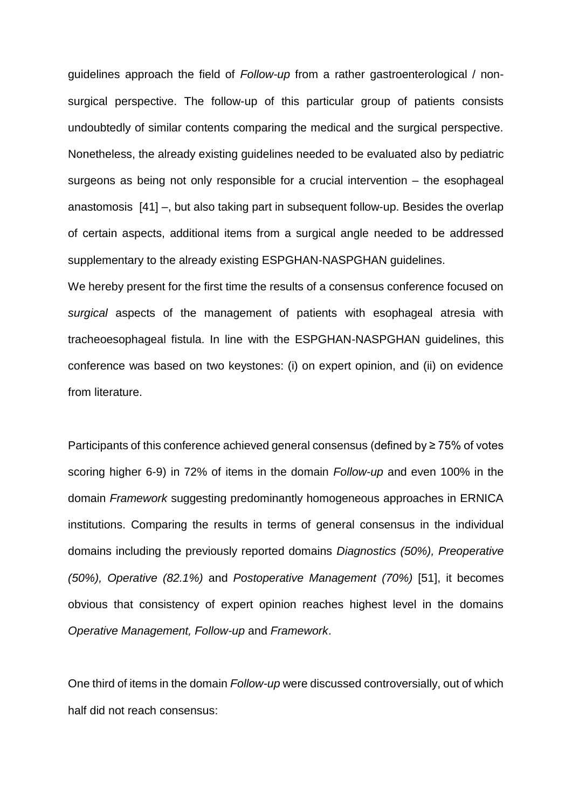guidelines approach the field of *Follow-up* from a rather gastroenterological / nonsurgical perspective. The follow-up of this particular group of patients consists undoubtedly of similar contents comparing the medical and the surgical perspective. Nonetheless, the already existing guidelines needed to be evaluated also by pediatric surgeons as being not only responsible for a crucial intervention – the esophageal anastomosis [41] –, but also taking part in subsequent follow-up. Besides the overlap of certain aspects, additional items from a surgical angle needed to be addressed supplementary to the already existing ESPGHAN-NASPGHAN guidelines.

We hereby present for the first time the results of a consensus conference focused on *surgical* aspects of the management of patients with esophageal atresia with tracheoesophageal fistula. In line with the ESPGHAN-NASPGHAN guidelines, this conference was based on two keystones: (i) on expert opinion, and (ii) on evidence from literature.

Participants of this conference achieved general consensus (defined by ≥ 75% of votes scoring higher 6-9) in 72% of items in the domain *Follow-up* and even 100% in the domain *Framework* suggesting predominantly homogeneous approaches in ERNICA institutions. Comparing the results in terms of general consensus in the individual domains including the previously reported domains *Diagnostics (50%), Preoperative (50%), Operative (82.1%)* and *Postoperative Management (70%)* [51], it becomes obvious that consistency of expert opinion reaches highest level in the domains *Operative Management, Follow-up* and *Framework*.

One third of items in the domain *Follow-up* were discussed controversially, out of which half did not reach consensus: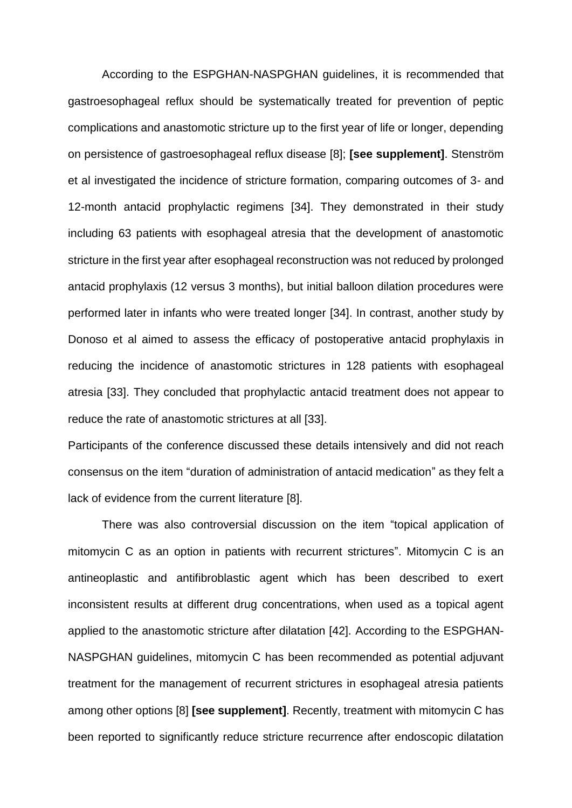According to the ESPGHAN-NASPGHAN guidelines, it is recommended that gastroesophageal reflux should be systematically treated for prevention of peptic complications and anastomotic stricture up to the first year of life or longer, depending on persistence of gastroesophageal reflux disease [8]; **[see supplement]**. Stenström et al investigated the incidence of stricture formation, comparing outcomes of 3- and 12-month antacid prophylactic regimens [34]. They demonstrated in their study including 63 patients with esophageal atresia that the development of anastomotic stricture in the first year after esophageal reconstruction was not reduced by prolonged antacid prophylaxis (12 versus 3 months), but initial balloon dilation procedures were performed later in infants who were treated longer [34]. In contrast, another study by Donoso et al aimed to assess the efficacy of postoperative antacid prophylaxis in reducing the incidence of anastomotic strictures in 128 patients with esophageal atresia [33]. They concluded that prophylactic antacid treatment does not appear to reduce the rate of anastomotic strictures at all [33].

Participants of the conference discussed these details intensively and did not reach consensus on the item "duration of administration of antacid medication" as they felt a lack of evidence from the current literature [8].

There was also controversial discussion on the item "topical application of mitomycin C as an option in patients with recurrent strictures". Mitomycin C is an antineoplastic and antifibroblastic agent which has been described to exert inconsistent results at different drug concentrations, when used as a topical agent applied to the anastomotic stricture after dilatation [42]. According to the ESPGHAN-NASPGHAN guidelines, mitomycin C has been recommended as potential adjuvant treatment for the management of recurrent strictures in esophageal atresia patients among other options [8] **[see supplement]**. Recently, treatment with mitomycin C has been reported to significantly reduce stricture recurrence after endoscopic dilatation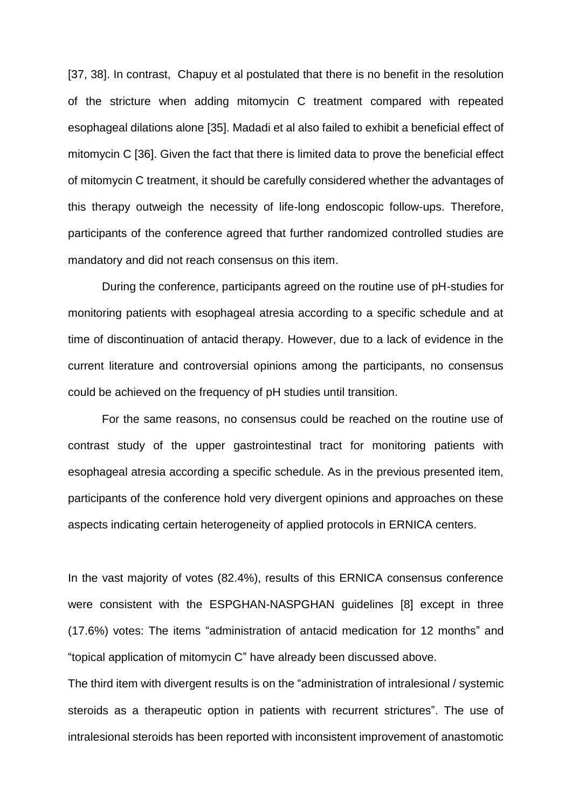[37, 38]. In contrast, Chapuy et al postulated that there is no benefit in the resolution of the stricture when adding mitomycin C treatment compared with repeated esophageal dilations alone [35]. Madadi et al also failed to exhibit a beneficial effect of mitomycin C [36]. Given the fact that there is limited data to prove the beneficial effect of mitomycin C treatment, it should be carefully considered whether the advantages of this therapy outweigh the necessity of life-long endoscopic follow-ups. Therefore, participants of the conference agreed that further randomized controlled studies are mandatory and did not reach consensus on this item.

During the conference, participants agreed on the routine use of pH-studies for monitoring patients with esophageal atresia according to a specific schedule and at time of discontinuation of antacid therapy. However, due to a lack of evidence in the current literature and controversial opinions among the participants, no consensus could be achieved on the frequency of pH studies until transition.

For the same reasons, no consensus could be reached on the routine use of contrast study of the upper gastrointestinal tract for monitoring patients with esophageal atresia according a specific schedule. As in the previous presented item, participants of the conference hold very divergent opinions and approaches on these aspects indicating certain heterogeneity of applied protocols in ERNICA centers.

In the vast majority of votes (82.4%), results of this ERNICA consensus conference were consistent with the ESPGHAN-NASPGHAN guidelines [8] except in three (17.6%) votes: The items "administration of antacid medication for 12 months" and "topical application of mitomycin C" have already been discussed above.

The third item with divergent results is on the "administration of intralesional / systemic steroids as a therapeutic option in patients with recurrent strictures". The use of intralesional steroids has been reported with inconsistent improvement of anastomotic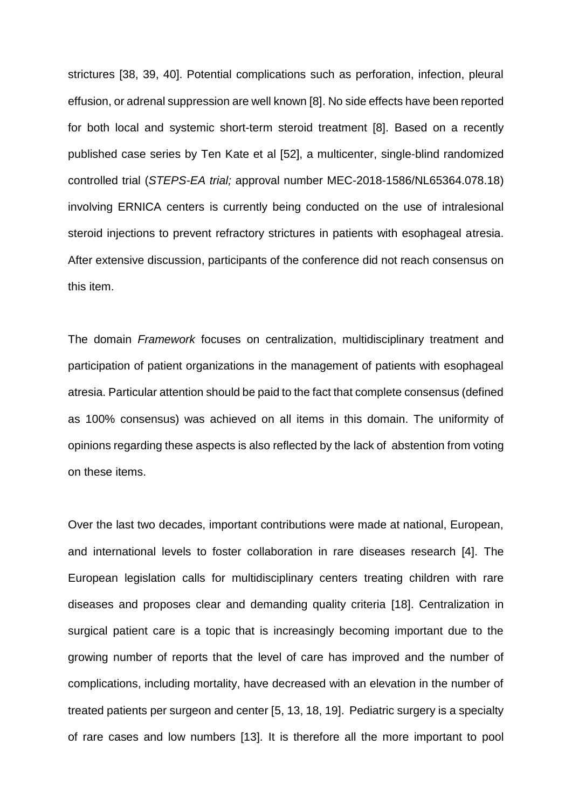strictures [38, 39, 40]. Potential complications such as perforation, infection, pleural effusion, or adrenal suppression are well known [8]. No side effects have been reported for both local and systemic short-term steroid treatment [8]. Based on a recently published case series by Ten Kate et al [52], a multicenter, single-blind randomized controlled trial (*STEPS-EA trial;* approval number MEC-2018-1586/NL65364.078.18) involving ERNICA centers is currently being conducted on the use of intralesional steroid injections to prevent refractory strictures in patients with esophageal atresia. After extensive discussion, participants of the conference did not reach consensus on this item.

The domain *Framework* focuses on centralization, multidisciplinary treatment and participation of patient organizations in the management of patients with esophageal atresia. Particular attention should be paid to the fact that complete consensus (defined as 100% consensus) was achieved on all items in this domain. The uniformity of opinions regarding these aspects is also reflected by the lack of abstention from voting on these items.

Over the last two decades, important contributions were made at national, European, and international levels to foster collaboration in rare diseases research [4]. The European legislation calls for multidisciplinary centers treating children with rare diseases and proposes clear and demanding quality criteria [18]. Centralization in surgical patient care is a topic that is increasingly becoming important due to the growing number of reports that the level of care has improved and the number of complications, including mortality, have decreased with an elevation in the number of treated patients per surgeon and center [5, 13, 18, 19]. Pediatric surgery is a specialty of rare cases and low numbers [13]. It is therefore all the more important to pool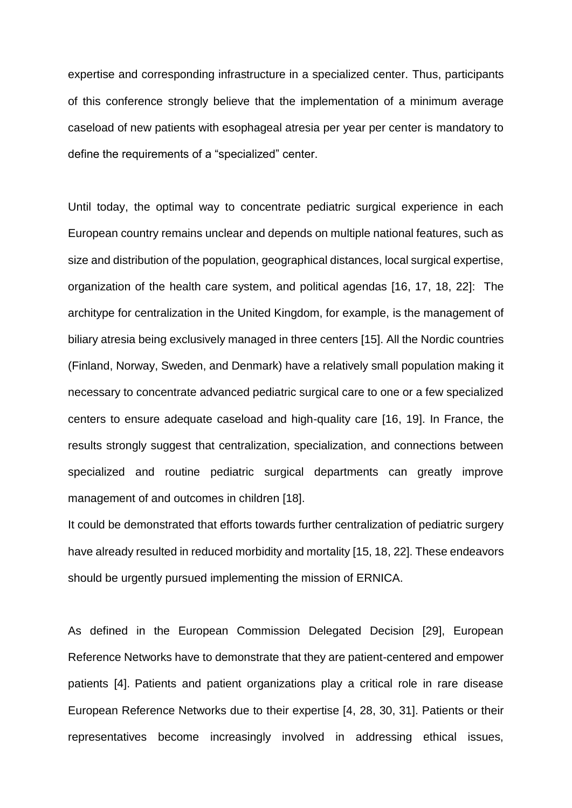expertise and corresponding infrastructure in a specialized center. Thus, participants of this conference strongly believe that the implementation of a minimum average caseload of new patients with esophageal atresia per year per center is mandatory to define the requirements of a "specialized" center.

Until today, the optimal way to concentrate pediatric surgical experience in each European country remains unclear and depends on multiple national features, such as size and distribution of the population, geographical distances, local surgical expertise, organization of the health care system, and political agendas [16, 17, 18, 22]: The architype for centralization in the United Kingdom, for example, is the management of biliary atresia being exclusively managed in three centers [15]. All the Nordic countries (Finland, Norway, Sweden, and Denmark) have a relatively small population making it necessary to concentrate advanced pediatric surgical care to one or a few specialized centers to ensure adequate caseload and high-quality care [16, 19]. In France, the results strongly suggest that centralization, specialization, and connections between specialized and routine pediatric surgical departments can greatly improve management of and outcomes in children [18].

It could be demonstrated that efforts towards further centralization of pediatric surgery have already resulted in reduced morbidity and mortality [15, 18, 22]. These endeavors should be urgently pursued implementing the mission of ERNICA.

As defined in the European Commission Delegated Decision [29], European Reference Networks have to demonstrate that they are patient-centered and empower patients [4]. Patients and patient organizations play a critical role in rare disease European Reference Networks due to their expertise [4, 28, 30, 31]. Patients or their representatives become increasingly involved in addressing ethical issues,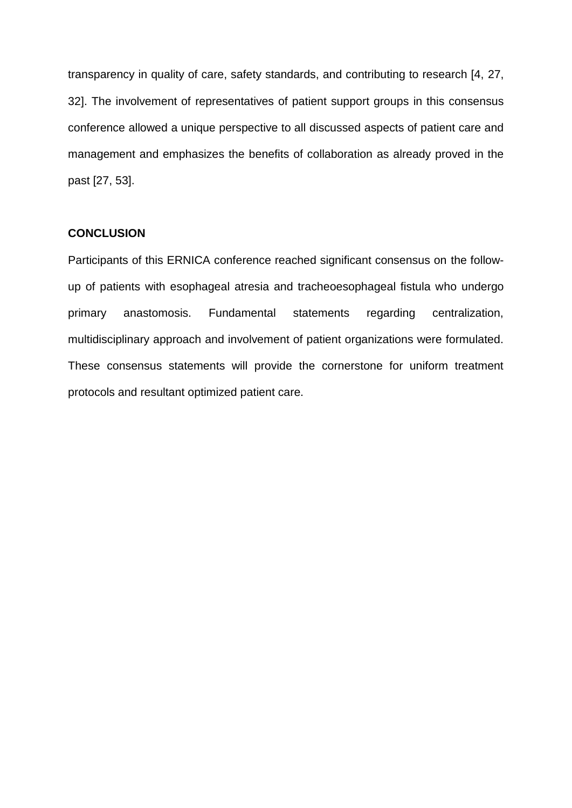transparency in quality of care, safety standards, and contributing to research [4, 27, 32]. The involvement of representatives of patient support groups in this consensus conference allowed a unique perspective to all discussed aspects of patient care and management and emphasizes the benefits of collaboration as already proved in the past [27, 53].

#### **CONCLUSION**

Participants of this ERNICA conference reached significant consensus on the followup of patients with esophageal atresia and tracheoesophageal fistula who undergo primary anastomosis. Fundamental statements regarding centralization, multidisciplinary approach and involvement of patient organizations were formulated. These consensus statements will provide the cornerstone for uniform treatment protocols and resultant optimized patient care.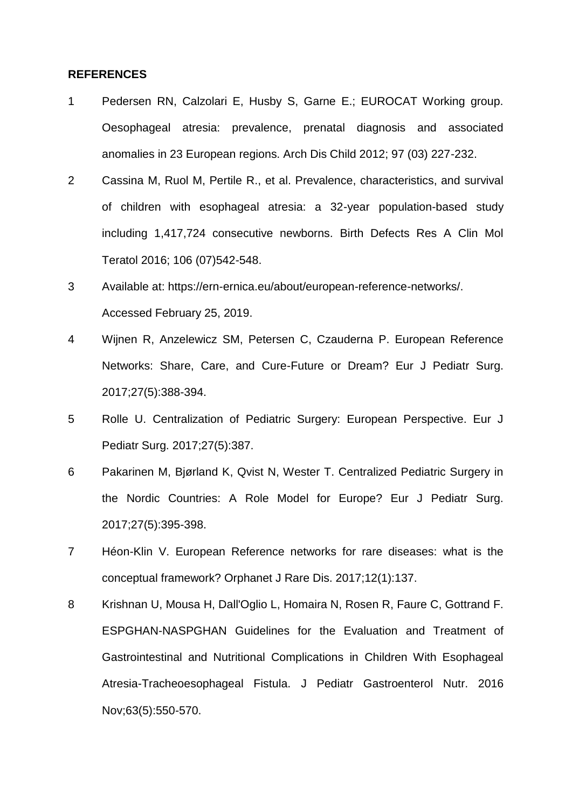#### **REFERENCES**

- 1 Pedersen RN, Calzolari E, Husby S, Garne E.; EUROCAT Working group. Oesophageal atresia: prevalence, prenatal diagnosis and associated anomalies in 23 European regions. Arch Dis Child 2012; 97 (03) 227-232.
- 2 Cassina M, Ruol M, Pertile R., et al. Prevalence, characteristics, and survival of children with esophageal atresia: a 32-year population-based study including 1,417,724 consecutive newborns. Birth Defects Res A Clin Mol Teratol 2016; 106 (07)542-548.
- 3 Available at: https://ern-ernica.eu/about/european-reference-networks/. Accessed February 25, 2019.
- 4 Wijnen R, Anzelewicz SM, Petersen C, Czauderna P. European Reference Networks: Share, Care, and Cure-Future or Dream? Eur J Pediatr Surg. 2017;27(5):388-394.
- 5 Rolle U. Centralization of Pediatric Surgery: European Perspective. Eur J Pediatr Surg. 2017;27(5):387.
- 6 Pakarinen M, Bjørland K, Qvist N, Wester T. Centralized Pediatric Surgery in the Nordic Countries: A Role Model for Europe? Eur J Pediatr Surg. 2017;27(5):395-398.
- 7 Héon-Klin V. European Reference networks for rare diseases: what is the conceptual framework? Orphanet J Rare Dis. 2017;12(1):137.
- 8 Krishnan U, Mousa H, Dall'Oglio L, Homaira N, Rosen R, Faure C, Gottrand F. ESPGHAN-NASPGHAN Guidelines for the Evaluation and Treatment of Gastrointestinal and Nutritional Complications in Children With Esophageal Atresia-Tracheoesophageal Fistula. J Pediatr Gastroenterol Nutr. 2016 Nov;63(5):550-570.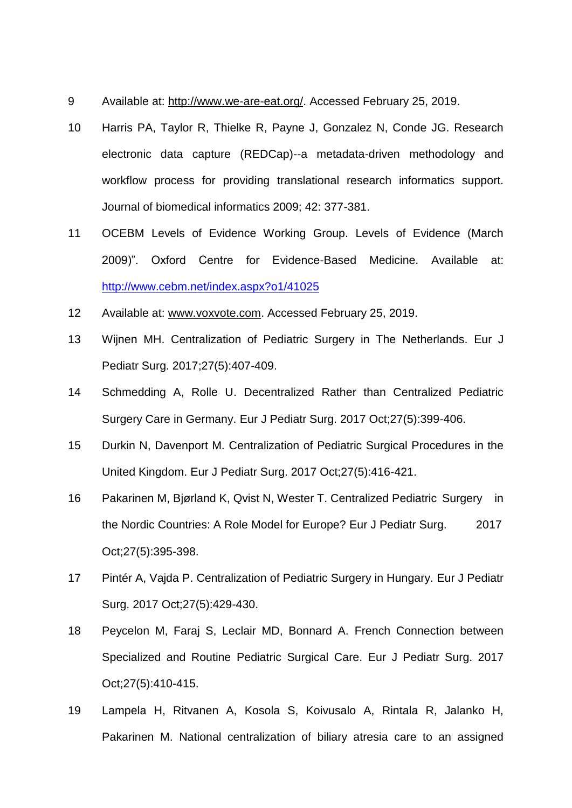- 9 Available at: [http://www.we-are-eat.org/.](http://www.we-are-eat.org/) Accessed February 25, 2019.
- 10 Harris PA, Taylor R, Thielke R, Payne J, Gonzalez N, Conde JG. Research electronic data capture (REDCap)--a metadata-driven methodology and workflow process for providing translational research informatics support. Journal of biomedical informatics 2009; 42: 377-381.
- 11 OCEBM Levels of Evidence Working Group. Levels of Evidence (March 2009)". Oxford Centre for Evidence-Based Medicine. Available at: <http://www.cebm.net/index.aspx?o1/41025>
- 12 Available at: [www.voxvote.com.](http://www.voxvote.com/) Accessed February 25, 2019.
- 13 Wijnen MH. Centralization of Pediatric Surgery in The Netherlands. Eur J Pediatr Surg. 2017;27(5):407-409.
- 14 Schmedding A, Rolle U. Decentralized Rather than Centralized Pediatric Surgery Care in Germany. Eur J Pediatr Surg. 2017 Oct;27(5):399-406.
- 15 Durkin N, Davenport M. Centralization of Pediatric Surgical Procedures in the United Kingdom. Eur J Pediatr Surg. 2017 Oct;27(5):416-421.
- 16 Pakarinen M, Bjørland K, Qvist N, Wester T. Centralized Pediatric Surgery in the Nordic Countries: A Role Model for Europe? Eur J Pediatr Surg. 2017 Oct;27(5):395-398.
- 17 Pintér A, Vajda P. Centralization of Pediatric Surgery in Hungary. Eur J Pediatr Surg. 2017 Oct;27(5):429-430.
- 18 Peycelon M, Faraj S, Leclair MD, Bonnard A. French Connection between Specialized and Routine Pediatric Surgical Care. Eur J Pediatr Surg. 2017 Oct;27(5):410-415.
- 19 Lampela H, Ritvanen A, Kosola S, Koivusalo A, Rintala R, Jalanko H, Pakarinen M. National centralization of biliary atresia care to an assigned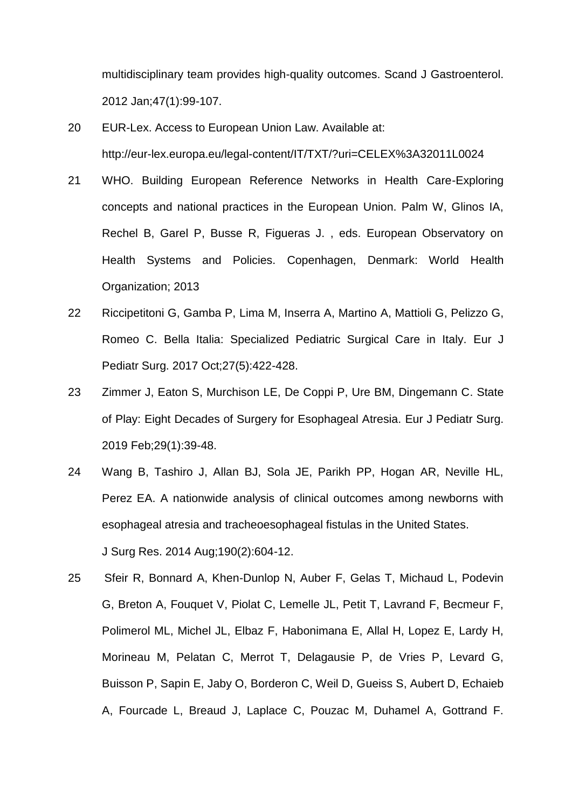multidisciplinary team provides high-quality outcomes. Scand J Gastroenterol. 2012 Jan;47(1):99-107.

- 20 EUR-Lex. Access to European Union Law. Available at: [http://eur-l](http://eur-/)ex.europa.eu/legal-content/IT/TXT/?uri=CELEX%3A32011L0024
- 21 WHO. Building European Reference Networks in Health Care-Exploring concepts and national practices in the European Union. Palm W, Glinos IA, Rechel B, Garel P, Busse R, Figueras J. , eds. European Observatory on Health Systems and Policies. Copenhagen, Denmark: World Health Organization; 2013
- 22 Riccipetitoni G, Gamba P, Lima M, Inserra A, Martino A, Mattioli G, Pelizzo G, Romeo C. Bella Italia: Specialized Pediatric Surgical Care in Italy. Eur J Pediatr Surg. 2017 Oct;27(5):422-428.
- 23 Zimmer J, Eaton S, Murchison LE, De Coppi P, Ure BM, Dingemann C. State of Play: Eight Decades of Surgery for Esophageal Atresia. Eur J Pediatr Surg. 2019 Feb;29(1):39-48.
- 24 Wang B, Tashiro J, Allan BJ, Sola JE, Parikh PP, Hogan AR, Neville HL, Perez EA. A nationwide analysis of clinical outcomes among newborns with esophageal atresia and tracheoesophageal fistulas in the United States. J Surg Res. 2014 Aug;190(2):604-12.
- 25 Sfeir R, Bonnard A, Khen-Dunlop N, Auber F, Gelas T, Michaud L, Podevin G, Breton A, Fouquet V, Piolat C, Lemelle JL, Petit T, Lavrand F, Becmeur F, Polimerol ML, Michel JL, Elbaz F, Habonimana E, Allal H, Lopez E, Lardy H, Morineau M, Pelatan C, Merrot T, Delagausie P, de Vries P, Levard G, Buisson P, Sapin E, Jaby O, Borderon C, Weil D, Gueiss S, Aubert D, Echaieb A, Fourcade L, Breaud J, Laplace C, Pouzac M, Duhamel A, Gottrand F.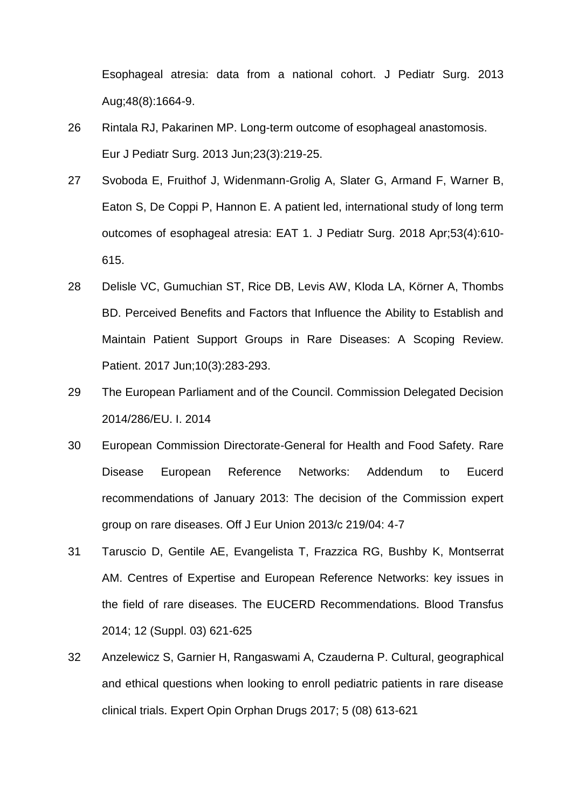Esophageal atresia: data from a national cohort. J Pediatr Surg. 2013 Aug;48(8):1664-9.

- 26 Rintala RJ, Pakarinen MP. Long-term outcome of esophageal anastomosis. Eur J Pediatr Surg. 2013 Jun;23(3):219-25.
- 27 Svoboda E, Fruithof J, Widenmann-Grolig A, Slater G, Armand F, Warner B, Eaton S, De Coppi P, Hannon E. A patient led, international study of long term outcomes of esophageal atresia: EAT 1. J Pediatr Surg. 2018 Apr;53(4):610- 615.
- 28 Delisle VC, Gumuchian ST, Rice DB, Levis AW, Kloda LA, Körner A, Thombs BD. Perceived Benefits and Factors that Influence the Ability to Establish and Maintain Patient Support Groups in Rare Diseases: A Scoping Review. Patient. 2017 Jun;10(3):283-293.
- 29 The European Parliament and of the Council. Commission Delegated Decision 2014/286/EU. I. 2014
- 30 European Commission Directorate-General for Health and Food Safety. Rare Disease European Reference Networks: Addendum to Eucerd recommendations of January 2013: The decision of the Commission expert group on rare diseases. Off J Eur Union 2013/c 219/04: 4-7
- 31 Taruscio D, Gentile AE, Evangelista T, Frazzica RG, Bushby K, Montserrat AM. Centres of Expertise and European Reference Networks: key issues in the field of rare diseases. The EUCERD Recommendations. Blood Transfus 2014; 12 (Suppl. 03) 621-625
- 32 Anzelewicz S, Garnier H, Rangaswami A, Czauderna P. Cultural, geographical and ethical questions when looking to enroll pediatric patients in rare disease clinical trials. Expert Opin Orphan Drugs 2017; 5 (08) 613-621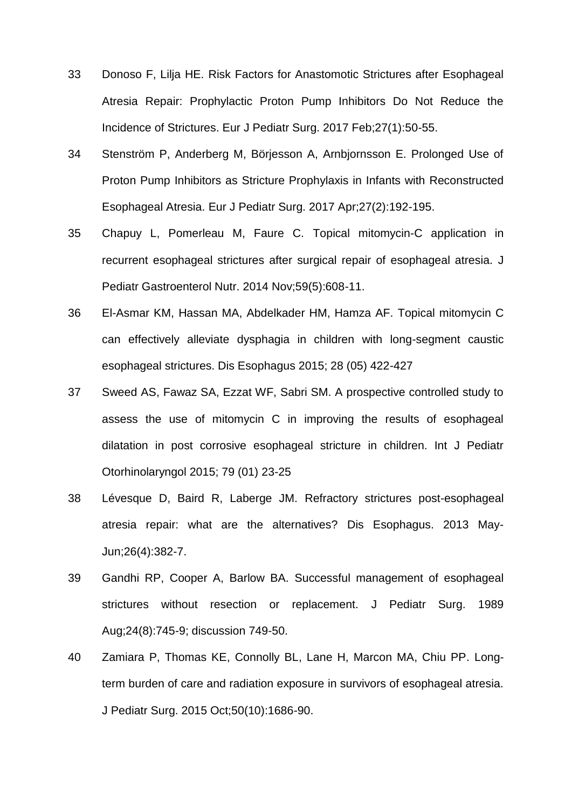- 33 Donoso F, Lilja HE. Risk Factors for Anastomotic Strictures after Esophageal Atresia Repair: Prophylactic Proton Pump Inhibitors Do Not Reduce the Incidence of Strictures. Eur J Pediatr Surg. 2017 Feb;27(1):50-55.
- 34 Stenström P, Anderberg M, Börjesson A, Arnbjornsson E. Prolonged Use of Proton Pump Inhibitors as Stricture Prophylaxis in Infants with Reconstructed Esophageal Atresia. Eur J Pediatr Surg. 2017 Apr;27(2):192-195.
- 35 Chapuy L, Pomerleau M, Faure C. Topical mitomycin-C application in recurrent esophageal strictures after surgical repair of esophageal atresia. J Pediatr Gastroenterol Nutr. 2014 Nov;59(5):608-11.
- 36 El-Asmar KM, Hassan MA, Abdelkader HM, Hamza AF. Topical mitomycin C can effectively alleviate dysphagia in children with long-segment caustic esophageal strictures. Dis Esophagus 2015; 28 (05) 422-427
- 37 Sweed AS, Fawaz SA, Ezzat WF, Sabri SM. A prospective controlled study to assess the use of mitomycin C in improving the results of esophageal dilatation in post corrosive esophageal stricture in children. Int J Pediatr Otorhinolaryngol 2015; 79 (01) 23-25
- 38 Lévesque D, Baird R, Laberge JM. Refractory strictures post-esophageal atresia repair: what are the alternatives? Dis Esophagus. 2013 May-Jun;26(4):382-7.
- 39 Gandhi RP, Cooper A, Barlow BA. Successful management of esophageal strictures without resection or replacement. J Pediatr Surg. 1989 Aug;24(8):745-9; discussion 749-50.
- 40 Zamiara P, Thomas KE, Connolly BL, Lane H, Marcon MA, Chiu PP. Longterm burden of care and radiation exposure in survivors of esophageal atresia. J Pediatr Surg. 2015 Oct;50(10):1686-90.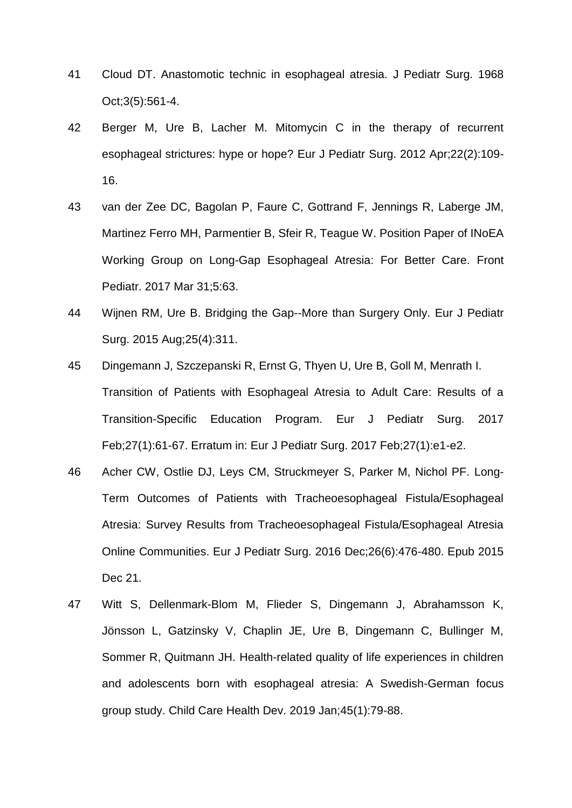- 41 Cloud DT. Anastomotic technic in esophageal atresia. J Pediatr Surg. 1968 Oct;3(5):561-4.
- 42 Berger M, Ure B, Lacher M. Mitomycin C in the therapy of recurrent esophageal strictures: hype or hope? Eur J Pediatr Surg. 2012 Apr;22(2):109- 16.
- 43 van der Zee DC, Bagolan P, Faure C, Gottrand F, Jennings R, Laberge JM, Martinez Ferro MH, Parmentier B, Sfeir R, Teague W. Position Paper of INoEA Working Group on Long-Gap Esophageal Atresia: For Better Care. Front Pediatr. 2017 Mar 31;5:63.
- 44 Wijnen RM, Ure B. Bridging the Gap--More than Surgery Only. Eur J Pediatr Surg. 2015 Aug;25(4):311.
- 45 Dingemann J, Szczepanski R, Ernst G, Thyen U, Ure B, Goll M, Menrath I. Transition of Patients with Esophageal Atresia to Adult Care: Results of a Transition-Specific Education Program. Eur J Pediatr Surg. 2017 Feb;27(1):61-67. Erratum in: Eur J Pediatr Surg. 2017 Feb;27(1):e1-e2.
- 46 Acher CW, Ostlie DJ, Leys CM, Struckmeyer S, Parker M, Nichol PF. Long-Term Outcomes of Patients with Tracheoesophageal Fistula/Esophageal Atresia: Survey Results from Tracheoesophageal Fistula/Esophageal Atresia Online Communities. Eur J Pediatr Surg. 2016 Dec;26(6):476-480. Epub 2015 Dec 21.
- 47 Witt S, Dellenmark-Blom M, Flieder S, Dingemann J, Abrahamsson K, Jönsson L, Gatzinsky V, Chaplin JE, Ure B, Dingemann C, Bullinger M, Sommer R, Quitmann JH. Health-related quality of life experiences in children and adolescents born with esophageal atresia: A Swedish-German focus group study. Child Care Health Dev. 2019 Jan;45(1):79-88.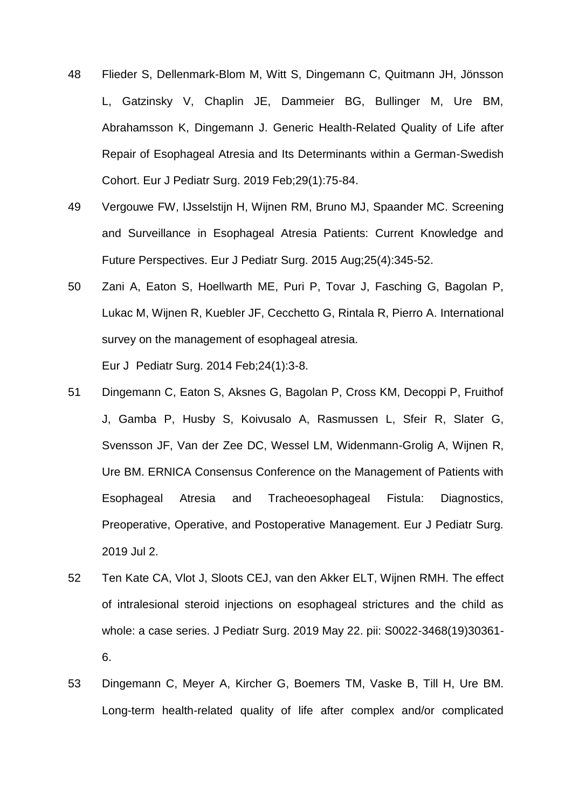- 48 Flieder S, Dellenmark-Blom M, Witt S, Dingemann C, Quitmann JH, Jönsson L, Gatzinsky V, Chaplin JE, Dammeier BG, Bullinger M, Ure BM, Abrahamsson K, Dingemann J. Generic Health-Related Quality of Life after Repair of Esophageal Atresia and Its Determinants within a German-Swedish Cohort. Eur J Pediatr Surg. 2019 Feb;29(1):75-84.
- 49 Vergouwe FW, IJsselstijn H, Wijnen RM, Bruno MJ, Spaander MC. Screening and Surveillance in Esophageal Atresia Patients: Current Knowledge and Future Perspectives. Eur J Pediatr Surg. 2015 Aug;25(4):345-52.
- 50 Zani A, Eaton S, Hoellwarth ME, Puri P, Tovar J, Fasching G, Bagolan P, Lukac M, Wijnen R, Kuebler JF, Cecchetto G, Rintala R, Pierro A. International survey on the management of esophageal atresia. Eur J Pediatr Surg. 2014 Feb;24(1):3-8.
- 51 Dingemann C, Eaton S, Aksnes G, Bagolan P, Cross KM, Decoppi P, Fruithof J, Gamba P, Husby S, Koivusalo A, Rasmussen L, Sfeir R, Slater G, Svensson JF, Van der Zee DC, Wessel LM, Widenmann-Grolig A, Wijnen R, Ure BM. ERNICA Consensus Conference on the Management of Patients with Esophageal Atresia and Tracheoesophageal Fistula: Diagnostics, Preoperative, Operative, and Postoperative Management. Eur J Pediatr Surg. 2019 Jul 2.
- 52 Ten Kate CA, Vlot J, Sloots CEJ, van den Akker ELT, Wijnen RMH. The effect of intralesional steroid injections on esophageal strictures and the child as whole: a case series. J Pediatr Surg. 2019 May 22. pii: S0022-3468(19)30361- 6.
- 53 Dingemann C, Meyer A, Kircher G, Boemers TM, Vaske B, Till H, Ure BM. Long-term health-related quality of life after complex and/or complicated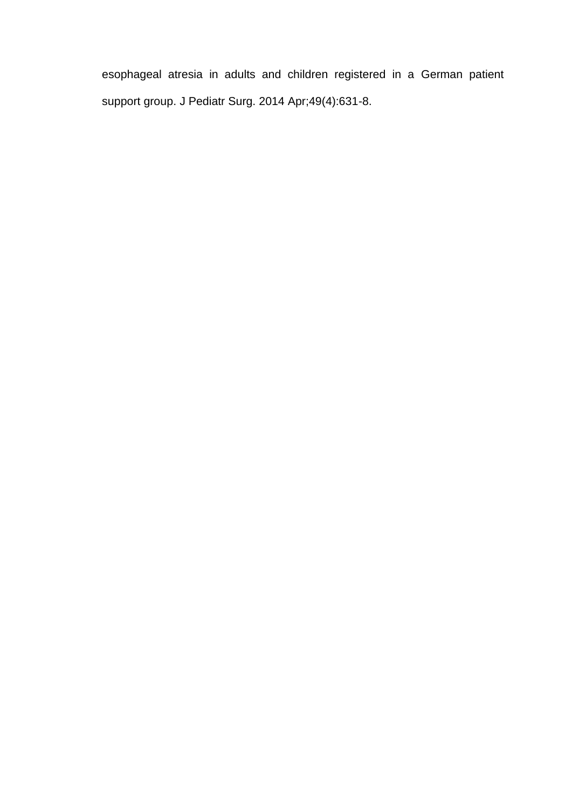esophageal atresia in adults and children registered in a German patient support group. J Pediatr Surg. 2014 Apr;49(4):631-8.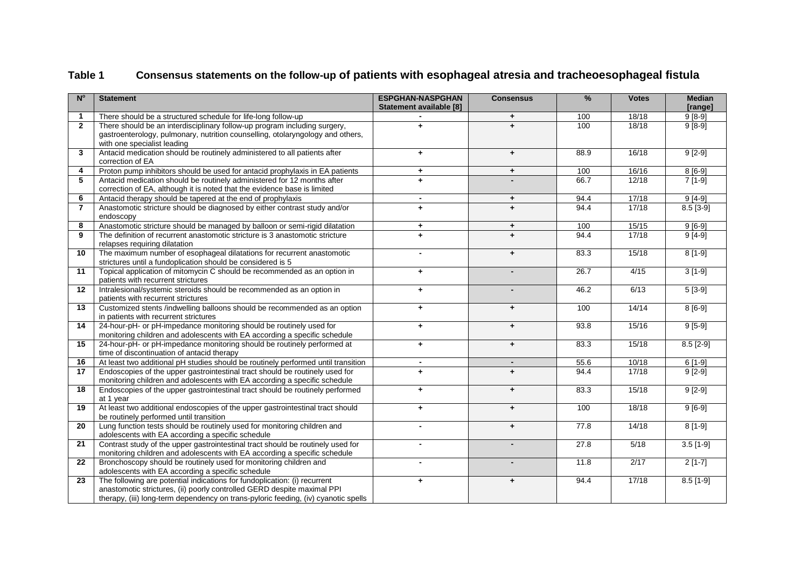| Consensus statements on the follow-up of patients with esophageal atresia and tracheoesophageal fistula<br>Table 1 |  |
|--------------------------------------------------------------------------------------------------------------------|--|
|--------------------------------------------------------------------------------------------------------------------|--|

| $N^{\circ}$             | <b>Statement</b>                                                                                                                        | <b>ESPGHAN-NASPGHAN</b><br>Statement available [8] | <b>Consensus</b>     | $\frac{0}{0}$ | <b>Votes</b> | <b>Median</b><br>[range] |
|-------------------------|-----------------------------------------------------------------------------------------------------------------------------------------|----------------------------------------------------|----------------------|---------------|--------------|--------------------------|
| $\mathbf{1}$            | There should be a structured schedule for life-long follow-up                                                                           |                                                    | ÷                    | 100           | 18/18        | $9[8-9]$                 |
| $\overline{2}$          | There should be an interdisciplinary follow-up program including surgery,                                                               | $\ddot{\phantom{1}}$                               | $\ddot{}$            | 100           | 18/18        | $9[8-9]$                 |
|                         | gastroenterology, pulmonary, nutrition counselling, otolaryngology and others,                                                          |                                                    |                      |               |              |                          |
|                         | with one specialist leading                                                                                                             |                                                    |                      |               |              |                          |
| 3                       | Antacid medication should be routinely administered to all patients after                                                               | $+$                                                | $\ddot{}$            | 88.9          | 16/18        | $9[2-9]$                 |
|                         | correction of EA                                                                                                                        |                                                    |                      |               |              |                          |
| $\overline{\mathbf{4}}$ | Proton pump inhibitors should be used for antacid prophylaxis in EA patients                                                            | $+$                                                | $\ddot{\phantom{1}}$ | 100           | 16/16        | $8[6-9]$                 |
| 5                       | Antacid medication should be routinely administered for 12 months after                                                                 | $\ddot{\phantom{1}}$                               |                      | 66.7          | 12/18        | $7[1-9]$                 |
|                         | correction of EA, although it is noted that the evidence base is limited                                                                |                                                    |                      |               |              |                          |
| 6                       | Antacid therapy should be tapered at the end of prophylaxis                                                                             | $\blacksquare$                                     | ٠                    | 94.4          | 17/18        | $9[4-9]$                 |
| $\overline{7}$          | Anastomotic stricture should be diagnosed by either contrast study and/or                                                               | $+$                                                | $\ddot{}$            | 94.4          | 17/18        | $8.5 [3-9]$              |
|                         | endoscopy                                                                                                                               |                                                    |                      |               |              |                          |
| 8                       | Anastomotic stricture should be managed by balloon or semi-rigid dilatation                                                             | $\ddot{\phantom{1}}$                               | $+$                  | 100           | 15/15        | $9[6-9]$                 |
| 9                       | The definition of recurrent anastomotic stricture is 3 anastomotic stricture                                                            | $\ddot{}$                                          | $\ddot{}$            | 94.4          | 17/18        | $9[4-9]$                 |
|                         | relapses requiring dilatation                                                                                                           |                                                    |                      |               |              |                          |
| 10                      | The maximum number of esophageal dilatations for recurrent anastomotic                                                                  |                                                    | $\ddot{\phantom{1}}$ | 83.3          | 15/18        | $8[1-9]$                 |
| 11                      | strictures until a fundoplication should be considered is 5<br>Topical application of mitomycin C should be recommended as an option in | $+$                                                |                      | 26.7          | 4/15         | $3[1-9]$                 |
|                         | patients with recurrent strictures                                                                                                      |                                                    |                      |               |              |                          |
| $12 \,$                 | Intralesional/systemic steroids should be recommended as an option in<br>$\ddot{\phantom{1}}$                                           |                                                    |                      | 46.2          | 6/13         | $5[3-9]$                 |
|                         | patients with recurrent strictures                                                                                                      |                                                    |                      |               |              |                          |
| 13                      | Customized stents /indwelling balloons should be recommended as an option<br>$\ddot{\phantom{1}}$                                       |                                                    | $\ddot{}$            | 100           | 14/14        | $8[6-9]$                 |
|                         | in patients with recurrent strictures                                                                                                   |                                                    |                      |               |              |                          |
| 14                      | 24-hour-pH- or pH-impedance monitoring should be routinely used for                                                                     | $\ddot{\phantom{1}}$                               | $\ddot{\phantom{1}}$ | 93.8          | 15/16        | $9[5-9]$                 |
|                         | monitoring children and adolescents with EA according a specific schedule                                                               |                                                    |                      |               |              |                          |
| 15                      | 24-hour-pH- or pH-impedance monitoring should be routinely performed at                                                                 | $\ddot{\phantom{1}}$                               | $\ddot{}$            | 83.3          | 15/18        | $8.5$ [2-9]              |
|                         | time of discontinuation of antacid therapy                                                                                              |                                                    |                      |               |              |                          |
| 16                      | At least two additional pH studies should be routinely performed until transition                                                       |                                                    |                      | 55.6          | 10/18        | $6[1-9]$                 |
| 17                      | Endoscopies of the upper gastrointestinal tract should be routinely used for                                                            | $\ddot{+}$                                         | $\ddot{}$            | 94.4          | 17/18        | $9[2-9]$                 |
|                         | monitoring children and adolescents with EA according a specific schedule                                                               |                                                    |                      |               |              |                          |
| 18                      | Endoscopies of the upper gastrointestinal tract should be routinely performed<br>at 1 year                                              | $+$                                                | $\ddot{\phantom{1}}$ | 83.3          | 15/18        | $9[2-9]$                 |
| 19                      | At least two additional endoscopies of the upper gastrointestinal tract should                                                          |                                                    | $\ddot{\phantom{1}}$ | 100           | 18/18        | $9[6-9]$                 |
|                         | $\ddot{\phantom{1}}$<br>be routinely performed until transition                                                                         |                                                    |                      |               |              |                          |
| 20                      | Lung function tests should be routinely used for monitoring children and                                                                |                                                    | $\ddot{}$            | 77.8          | 14/18        | $8[1-9]$                 |
|                         | adolescents with EA according a specific schedule                                                                                       |                                                    |                      |               |              |                          |
| 21                      | Contrast study of the upper gastrointestinal tract should be routinely used for                                                         | $\blacksquare$                                     |                      | 27.8          | 5/18         | $3.5$ [1-9]              |
|                         | monitoring children and adolescents with EA according a specific schedule                                                               |                                                    |                      |               |              |                          |
| 22                      | Bronchoscopy should be routinely used for monitoring children and                                                                       | $\blacksquare$                                     |                      | 11.8          | 2/17         | $2[1-7]$                 |
|                         | adolescents with EA according a specific schedule                                                                                       |                                                    |                      |               |              |                          |
| 23                      | The following are potential indications for fundoplication: (i) recurrent                                                               | $+$                                                | $\ddot{}$            | 94.4          | 17/18        | $8.5$ [1-9]              |
|                         | anastomotic strictures, (ii) poorly controlled GERD despite maximal PPI                                                                 |                                                    |                      |               |              |                          |
|                         | therapy, (iii) long-term dependency on trans-pyloric feeding, (iv) cyanotic spells                                                      |                                                    |                      |               |              |                          |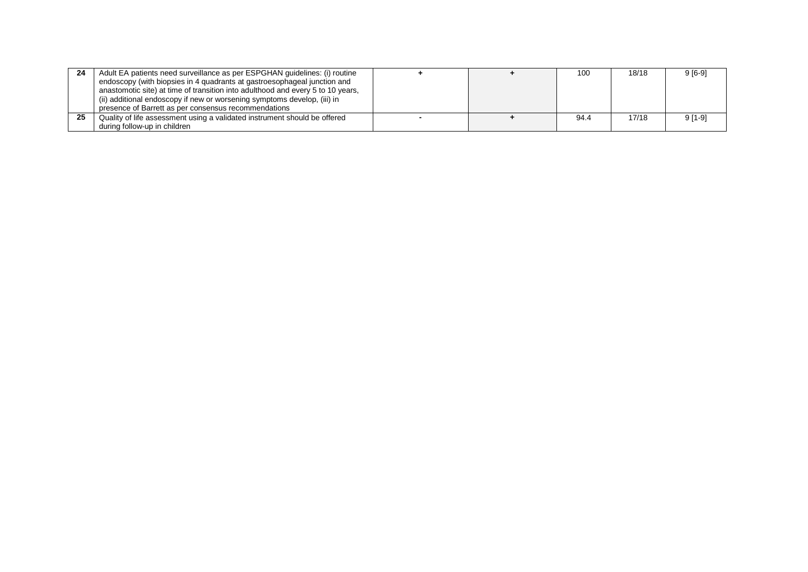| 24 | Adult EA patients need surveillance as per ESPGHAN guidelines: (i) routine      |  | 100  | 18/18 | 9 [6-9] |
|----|---------------------------------------------------------------------------------|--|------|-------|---------|
|    | endoscopy (with biopsies in 4 quadrants at gastroesophageal junction and        |  |      |       |         |
|    | anastomotic site) at time of transition into adulthood and every 5 to 10 years, |  |      |       |         |
|    | (ii) additional endoscopy if new or worsening symptoms develop, (iii) in        |  |      |       |         |
|    | presence of Barrett as per consensus recommendations                            |  |      |       |         |
| 25 | Quality of life assessment using a validated instrument should be offered       |  | 94.4 | 17/18 | 9 [1-9] |
|    | during follow-up in children                                                    |  |      |       |         |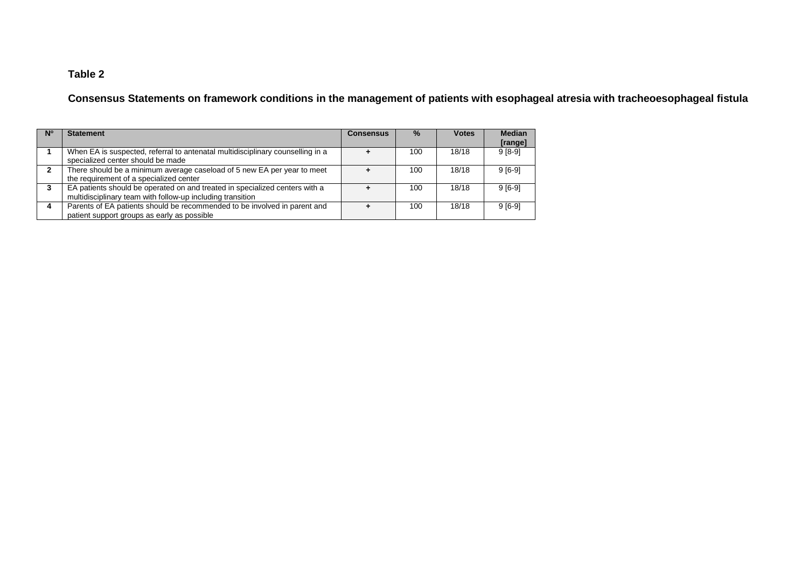## **Table 2**

**Consensus Statements on framework conditions in the management of patients with esophageal atresia with tracheoesophageal fistula**

| <b>N°</b> | <b>Statement</b>                                                                                                                          | <b>Consensus</b> | $\%$ | <b>Votes</b> | <b>Median</b><br>[range] |
|-----------|-------------------------------------------------------------------------------------------------------------------------------------------|------------------|------|--------------|--------------------------|
|           | When EA is suspected, referral to antenatal multidisciplinary counselling in a<br>specialized center should be made                       |                  | 100  | 18/18        | $9[8-9]$                 |
| 2         | There should be a minimum average caseload of 5 new EA per year to meet<br>the requirement of a specialized center                        |                  | 100  | 18/18        | $9[6-9]$                 |
| 3         | EA patients should be operated on and treated in specialized centers with a<br>multidisciplinary team with follow-up including transition |                  | 100  | 18/18        | $9[6-9]$                 |
|           | Parents of EA patients should be recommended to be involved in parent and<br>patient support groups as early as possible                  |                  | 100  | 18/18        | $9[6-9]$                 |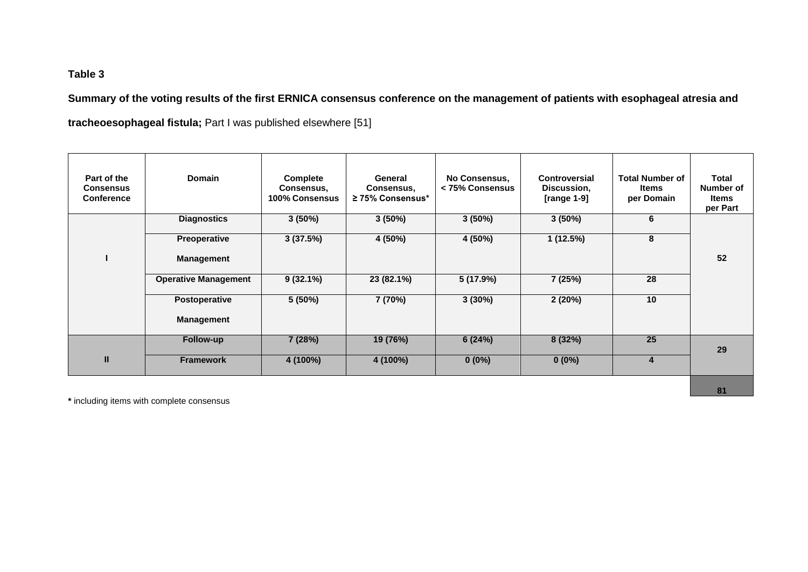## **Table 3**

**Summary of the voting results of the first ERNICA consensus conference on the management of patients with esophageal atresia and tracheoesophageal fistula;** Part I was published elsewhere [51]

| Part of the<br><b>Consensus</b><br><b>Conference</b> | <b>Domain</b>               | Complete<br>Consensus,<br>100% Consensus | General<br>Consensus,<br>$\geq$ 75% Consensus* | No Consensus,<br>< 75% Consensus | Controversial<br>Discussion,<br>[range $1-9$ ] | <b>Total Number of</b><br>Items<br>per Domain | Total<br>Number of<br>Items<br>per Part |
|------------------------------------------------------|-----------------------------|------------------------------------------|------------------------------------------------|----------------------------------|------------------------------------------------|-----------------------------------------------|-----------------------------------------|
|                                                      | <b>Diagnostics</b>          | $3(50\%)$                                | $3(50\%)$                                      | $3(50\%)$                        | $3(50\%)$                                      | 6                                             |                                         |
|                                                      | <b>Preoperative</b>         | 3(37.5%)                                 | 4 (50%)                                        | 4 (50%)                          | 1(12.5%)                                       | 8                                             |                                         |
|                                                      | <b>Management</b>           |                                          |                                                |                                  |                                                |                                               | 52                                      |
|                                                      | <b>Operative Management</b> | $9(32.1\%)$                              | 23 (82.1%)                                     | 5(17.9%)                         | 7 (25%)                                        | 28                                            |                                         |
|                                                      | Postoperative               | 5(50%)                                   | 7(70%)                                         | 3(30%)                           | 2(20%)                                         | 10                                            |                                         |
|                                                      | <b>Management</b>           |                                          |                                                |                                  |                                                |                                               |                                         |
|                                                      | Follow-up                   | 7 (28%)                                  | 19 (76%)                                       | 6(24%)                           | 8(32%)                                         | 25                                            | 29                                      |
| $\mathbf{II}$                                        | <b>Framework</b>            | 4 (100%)                                 | 4 (100%)                                       | $0(0\%)$                         | $0(0\%)$                                       | 4                                             |                                         |

**\*** including items with complete consensus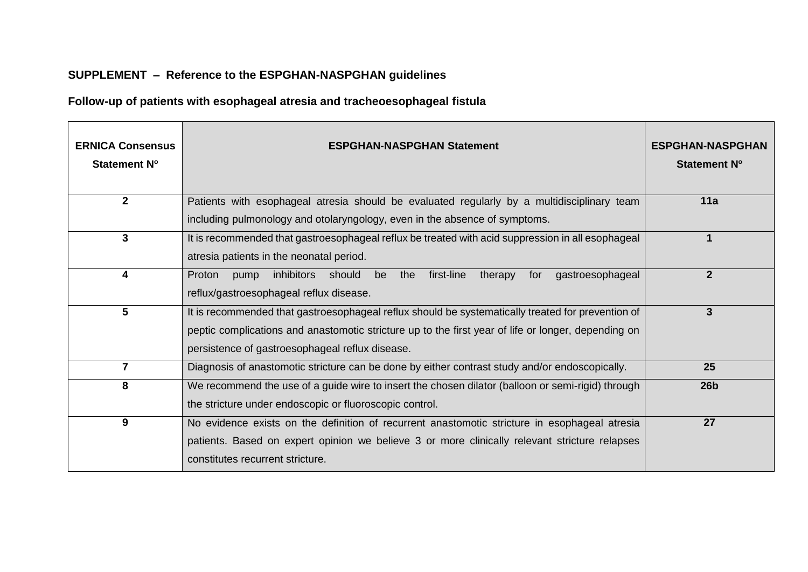# **SUPPLEMENT – Reference to the ESPGHAN-NASPGHAN guidelines**

# **Follow-up of patients with esophageal atresia and tracheoesophageal fistula**

| <b>ERNICA Consensus</b><br>Statement N° | <b>ESPGHAN-NASPGHAN Statement</b>                                                                                                                                                                        | <b>ESPGHAN-NASPGHAN</b><br><b>Statement N°</b> |
|-----------------------------------------|----------------------------------------------------------------------------------------------------------------------------------------------------------------------------------------------------------|------------------------------------------------|
| $\overline{2}$                          | Patients with esophageal atresia should be evaluated regularly by a multidisciplinary team                                                                                                               | 11a                                            |
|                                         | including pulmonology and otolaryngology, even in the absence of symptoms.                                                                                                                               |                                                |
| 3                                       | It is recommended that gastroesophageal reflux be treated with acid suppression in all esophageal                                                                                                        |                                                |
|                                         | atresia patients in the neonatal period.                                                                                                                                                                 |                                                |
| 4                                       | first-line<br>inhibitors<br>should be<br>the<br>therapy<br>gastroesophageal<br>Proton<br>pump<br>for                                                                                                     | $\mathbf{2}$                                   |
|                                         | reflux/gastroesophageal reflux disease.                                                                                                                                                                  |                                                |
| 5                                       | It is recommended that gastroesophageal reflux should be systematically treated for prevention of<br>peptic complications and anastomotic stricture up to the first year of life or longer, depending on | 3                                              |
|                                         |                                                                                                                                                                                                          |                                                |
|                                         | persistence of gastroesophageal reflux disease.                                                                                                                                                          |                                                |
| $\overline{7}$                          | Diagnosis of anastomotic stricture can be done by either contrast study and/or endoscopically.                                                                                                           | 25                                             |
| 8                                       | We recommend the use of a guide wire to insert the chosen dilator (balloon or semi-rigid) through                                                                                                        | 26 <sub>b</sub>                                |
|                                         | the stricture under endoscopic or fluoroscopic control.                                                                                                                                                  |                                                |
| 9                                       | No evidence exists on the definition of recurrent anastomotic stricture in esophageal atresia                                                                                                            | 27                                             |
|                                         | patients. Based on expert opinion we believe 3 or more clinically relevant stricture relapses                                                                                                            |                                                |
|                                         | constitutes recurrent stricture.                                                                                                                                                                         |                                                |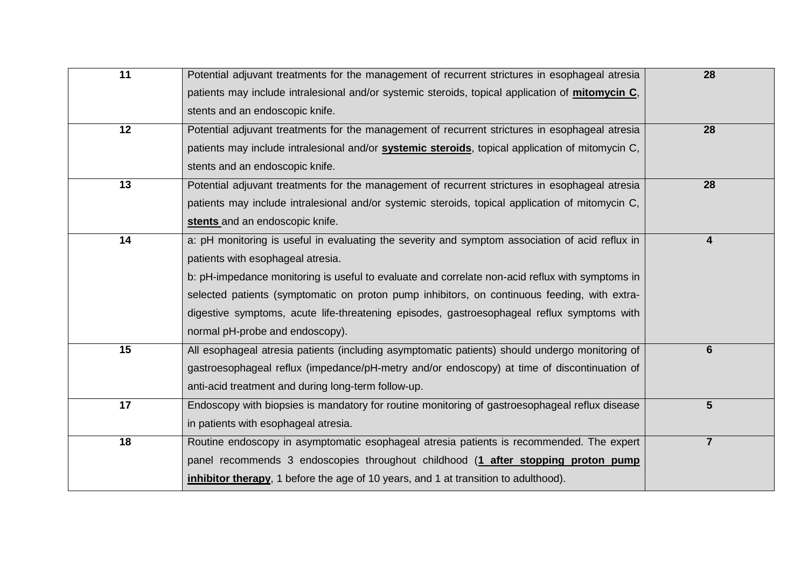| $\overline{11}$ | Potential adjuvant treatments for the management of recurrent strictures in esophageal atresia   | 28             |
|-----------------|--------------------------------------------------------------------------------------------------|----------------|
|                 | patients may include intralesional and/or systemic steroids, topical application of mitomycin C, |                |
|                 | stents and an endoscopic knife.                                                                  |                |
| 12              | Potential adjuvant treatments for the management of recurrent strictures in esophageal atresia   | 28             |
|                 | patients may include intralesional and/or systemic steroids, topical application of mitomycin C, |                |
|                 | stents and an endoscopic knife.                                                                  |                |
| 13              | Potential adjuvant treatments for the management of recurrent strictures in esophageal atresia   | 28             |
|                 | patients may include intralesional and/or systemic steroids, topical application of mitomycin C, |                |
|                 | stents and an endoscopic knife.                                                                  |                |
| 14              | a: pH monitoring is useful in evaluating the severity and symptom association of acid reflux in  | 4              |
|                 | patients with esophageal atresia.                                                                |                |
|                 | b: pH-impedance monitoring is useful to evaluate and correlate non-acid reflux with symptoms in  |                |
|                 | selected patients (symptomatic on proton pump inhibitors, on continuous feeding, with extra-     |                |
|                 | digestive symptoms, acute life-threatening episodes, gastroesophageal reflux symptoms with       |                |
|                 | normal pH-probe and endoscopy).                                                                  |                |
| 15              | All esophageal atresia patients (including asymptomatic patients) should undergo monitoring of   | $6\phantom{1}$ |
|                 | gastroesophageal reflux (impedance/pH-metry and/or endoscopy) at time of discontinuation of      |                |
|                 | anti-acid treatment and during long-term follow-up.                                              |                |
| 17              | Endoscopy with biopsies is mandatory for routine monitoring of gastroesophageal reflux disease   | $5\phantom{1}$ |
|                 | in patients with esophageal atresia.                                                             |                |
| 18              | Routine endoscopy in asymptomatic esophageal atresia patients is recommended. The expert         | $\overline{7}$ |
|                 | panel recommends 3 endoscopies throughout childhood (1 after stopping proton pump                |                |
|                 | inhibitor therapy, 1 before the age of 10 years, and 1 at transition to adulthood).              |                |